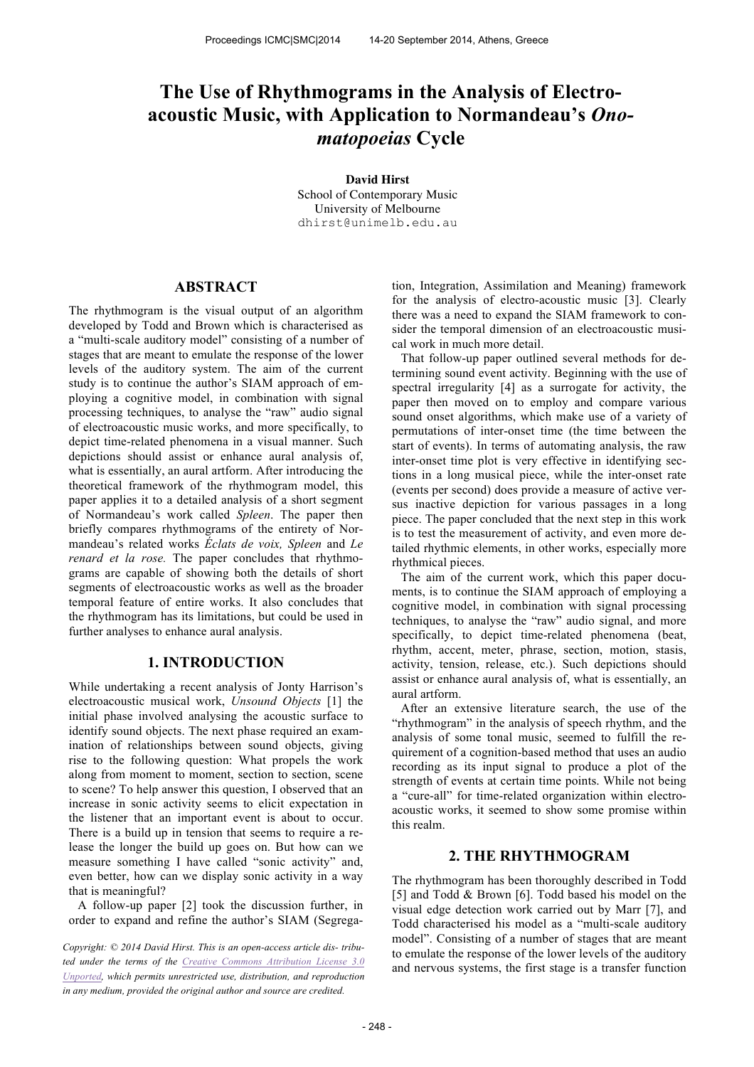# **The Use of Rhythmograms in the Analysis of Electroacoustic Music, with Application to Normandeau's** *Onomatopoeias* **Cycle**

**David Hirst** School of Contemporary Music University of Melbourne

dhirst@unimelb.edu.au

## **ABSTRACT**

The rhythmogram is the visual output of an algorithm developed by Todd and Brown which is characterised as a "multi-scale auditory model" consisting of a number of stages that are meant to emulate the response of the lower levels of the auditory system. The aim of the current study is to continue the author's SIAM approach of employing a cognitive model, in combination with signal processing techniques, to analyse the "raw" audio signal of electroacoustic music works, and more specifically, to depict time-related phenomena in a visual manner. Such depictions should assist or enhance aural analysis of, what is essentially, an aural artform. After introducing the theoretical framework of the rhythmogram model, this paper applies it to a detailed analysis of a short segment of Normandeau's work called *Spleen*. The paper then briefly compares rhythmograms of the entirety of Normandeau's related works *Éclats de voix, Spleen* and *Le renard et la rose.* The paper concludes that rhythmograms are capable of showing both the details of short segments of electroacoustic works as well as the broader temporal feature of entire works. It also concludes that the rhythmogram has its limitations, but could be used in further analyses to enhance aural analysis.

### **1. INTRODUCTION**

While undertaking a recent analysis of Jonty Harrison's electroacoustic musical work, *Unsound Objects* [1] the initial phase involved analysing the acoustic surface to identify sound objects. The next phase required an examination of relationships between sound objects, giving rise to the following question: What propels the work along from moment to moment, section to section, scene to scene? To help answer this question, I observed that an increase in sonic activity seems to elicit expectation in the listener that an important event is about to occur. There is a build up in tension that seems to require a release the longer the build up goes on. But how can we measure something I have called "sonic activity" and, even better, how can we display sonic activity in a way that is meaningful?

A follow-up paper [2] took the discussion further, in order to expand and refine the author's SIAM (Segregation, Integration, Assimilation and Meaning) framework for the analysis of electro-acoustic music [3]. Clearly there was a need to expand the SIAM framework to consider the temporal dimension of an electroacoustic musical work in much more detail.

That follow-up paper outlined several methods for determining sound event activity. Beginning with the use of spectral irregularity [4] as a surrogate for activity, the paper then moved on to employ and compare various sound onset algorithms, which make use of a variety of permutations of inter-onset time (the time between the start of events). In terms of automating analysis, the raw inter-onset time plot is very effective in identifying sections in a long musical piece, while the inter-onset rate (events per second) does provide a measure of active versus inactive depiction for various passages in a long piece. The paper concluded that the next step in this work is to test the measurement of activity, and even more detailed rhythmic elements, in other works, especially more rhythmical pieces.

The aim of the current work, which this paper documents, is to continue the SIAM approach of employing a cognitive model, in combination with signal processing techniques, to analyse the "raw" audio signal, and more specifically, to depict time-related phenomena (beat, rhythm, accent, meter, phrase, section, motion, stasis, activity, tension, release, etc.). Such depictions should assist or enhance aural analysis of, what is essentially, an aural artform.

After an extensive literature search, the use of the "rhythmogram" in the analysis of speech rhythm, and the analysis of some tonal music, seemed to fulfill the requirement of a cognition-based method that uses an audio recording as its input signal to produce a plot of the strength of events at certain time points. While not being a "cure-all" for time-related organization within electroacoustic works, it seemed to show some promise within this realm.

# **2. THE RHYTHMOGRAM**

The rhythmogram has been thoroughly described in Todd [5] and Todd & Brown [6]. Todd based his model on the visual edge detection work carried out by Marr [7], and Todd characterised his model as a "multi-scale auditory model". Consisting of a number of stages that are meant to emulate the response of the lower levels of the auditory and nervous systems, the first stage is a transfer function

*Copyright: © 2014 David Hirst. This is an open-access article dis- tributed under the terms of the Creative Commons Attribution License 3.0 Unported, which permits unrestricted use, distribution, and reproduction in any medium, provided the original author and source are credited.*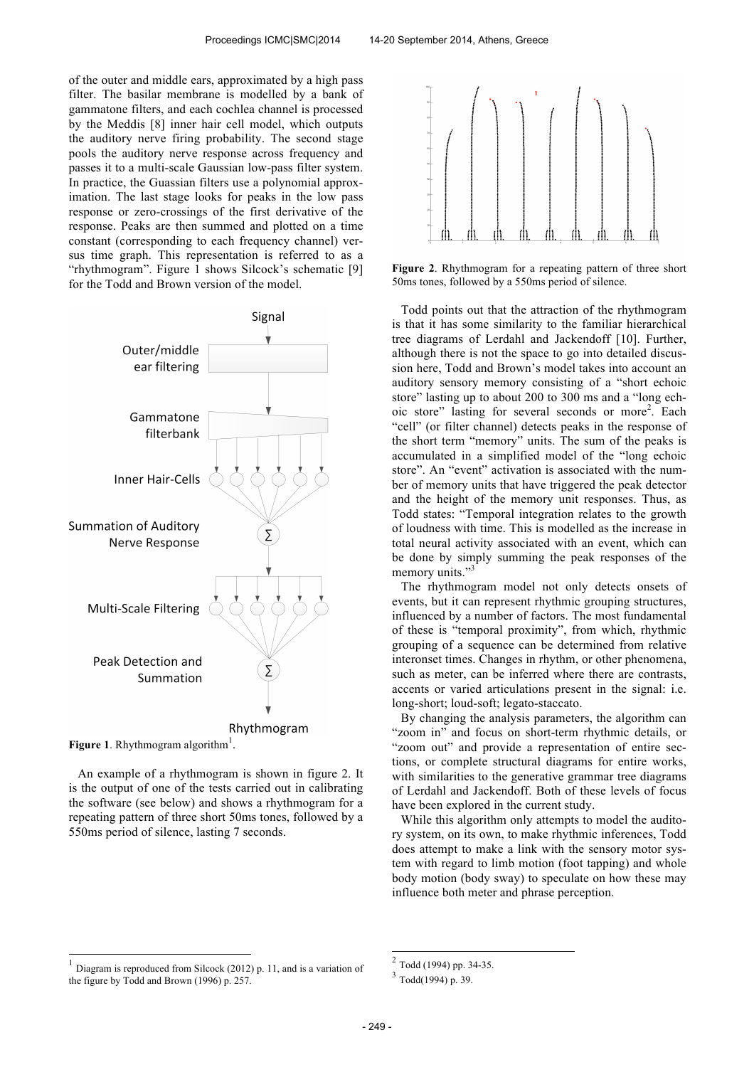of the outer and middle ears, approximated by a high pass filter. The basilar membrane is modelled by a bank of gammatone filters, and each cochlea channel is processed by the Meddis [8] inner hair cell model, which outputs the auditory nerve firing probability. The second stage pools the auditory nerve response across frequency and passes it to a multi-scale Gaussian low-pass filter system. In practice, the Guassian filters use a polynomial approximation. The last stage looks for peaks in the low pass response or zero-crossings of the first derivative of the response. Peaks are then summed and plotted on a time constant (corresponding to each frequency channel) versus time graph. This representation is referred to as a "rhythmogram". Figure 1 shows Silcock's schematic [9] for the Todd and Brown version of the model.



Figure 1. Rhythmogram algorithm<sup>1</sup>.

j

An example of a rhythmogram is shown in figure 2. It is the output of one of the tests carried out in calibrating the software (see below) and shows a rhythmogram for a repeating pattern of three short 50ms tones, followed by a 550ms period of silence, lasting 7 seconds.



**Figure 2**. Rhythmogram for a repeating pattern of three short 50ms tones, followed by a 550ms period of silence.

Todd points out that the attraction of the rhythmogram is that it has some similarity to the familiar hierarchical tree diagrams of Lerdahl and Jackendoff [10]. Further, although there is not the space to go into detailed discussion here, Todd and Brown's model takes into account an auditory sensory memory consisting of a "short echoic store" lasting up to about 200 to 300 ms and a "long echoic store" lasting for several seconds or more<sup>2</sup>. Each "cell" (or filter channel) detects peaks in the response of the short term "memory" units. The sum of the peaks is accumulated in a simplified model of the "long echoic store". An "event" activation is associated with the number of memory units that have triggered the peak detector and the height of the memory unit responses. Thus, as Todd states: "Temporal integration relates to the growth of loudness with time. This is modelled as the increase in total neural activity associated with an event, which can be done by simply summing the peak responses of the memory units."<sup>3</sup>

The rhythmogram model not only detects onsets of events, but it can represent rhythmic grouping structures, influenced by a number of factors. The most fundamental of these is "temporal proximity", from which, rhythmic grouping of a sequence can be determined from relative interonset times. Changes in rhythm, or other phenomena, such as meter, can be inferred where there are contrasts, accents or varied articulations present in the signal: i.e. long-short; loud-soft; legato-staccato.

By changing the analysis parameters, the algorithm can "zoom in" and focus on short-term rhythmic details, or "zoom out" and provide a representation of entire sections, or complete structural diagrams for entire works, with similarities to the generative grammar tree diagrams of Lerdahl and Jackendoff. Both of these levels of focus have been explored in the current study.

While this algorithm only attempts to model the auditory system, on its own, to make rhythmic inferences, Todd does attempt to make a link with the sensory motor system with regard to limb motion (foot tapping) and whole body motion (body sway) to speculate on how these may influence both meter and phrase perception.

 $\overline{a}$ 

<sup>&</sup>lt;sup>1</sup> Diagram is reproduced from Silcock (2012) p. 11, and is a variation of the figure by Todd and Brown (1996) p. 257.

<sup>2</sup> Todd (1994) pp. 34-35.

 $3$  Todd(1994) p. 39.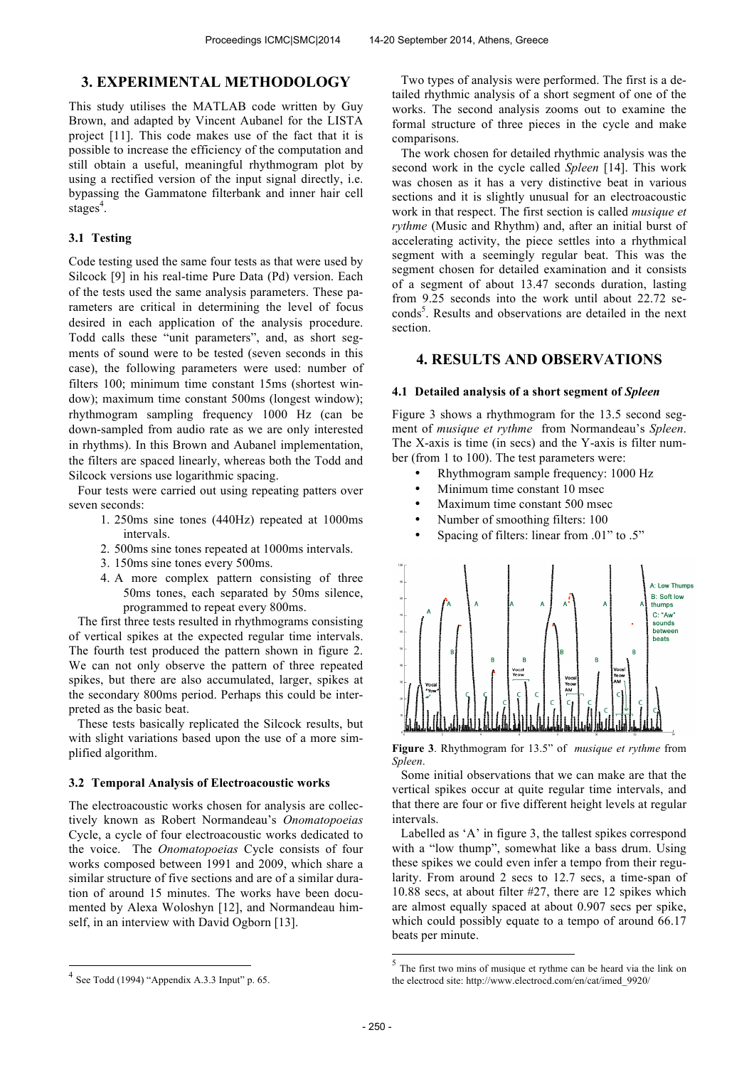## **3. EXPERIMENTAL METHODOLOGY**

This study utilises the MATLAB code written by Guy Brown, and adapted by Vincent Aubanel for the LISTA project [11]. This code makes use of the fact that it is possible to increase the efficiency of the computation and still obtain a useful, meaningful rhythmogram plot by using a rectified version of the input signal directly, i.e. bypassing the Gammatone filterbank and inner hair cell stages<sup>4</sup>.

#### **3.1 Testing**

Code testing used the same four tests as that were used by Silcock [9] in his real-time Pure Data (Pd) version. Each of the tests used the same analysis parameters. These parameters are critical in determining the level of focus desired in each application of the analysis procedure. Todd calls these "unit parameters", and, as short segments of sound were to be tested (seven seconds in this case), the following parameters were used: number of filters 100; minimum time constant 15ms (shortest window); maximum time constant 500ms (longest window); rhythmogram sampling frequency 1000 Hz (can be down-sampled from audio rate as we are only interested in rhythms). In this Brown and Aubanel implementation, the filters are spaced linearly, whereas both the Todd and Silcock versions use logarithmic spacing.

Four tests were carried out using repeating patters over seven seconds:

- 1. 250ms sine tones (440Hz) repeated at 1000ms intervals.
- 2. 500ms sine tones repeated at 1000ms intervals.
- 3. 150ms sine tones every 500ms.
- 4. A more complex pattern consisting of three 50ms tones, each separated by 50ms silence, programmed to repeat every 800ms.

The first three tests resulted in rhythmograms consisting of vertical spikes at the expected regular time intervals. The fourth test produced the pattern shown in figure 2. We can not only observe the pattern of three repeated spikes, but there are also accumulated, larger, spikes at the secondary 800ms period. Perhaps this could be interpreted as the basic beat.

These tests basically replicated the Silcock results, but with slight variations based upon the use of a more simplified algorithm.

#### **3.2 Temporal Analysis of Electroacoustic works**

The electroacoustic works chosen for analysis are collectively known as Robert Normandeau's *Onomatopoeias* Cycle, a cycle of four electroacoustic works dedicated to the voice. The *Onomatopoeias* Cycle consists of four works composed between 1991 and 2009, which share a similar structure of five sections and are of a similar duration of around 15 minutes. The works have been documented by Alexa Woloshyn [12], and Normandeau himself, in an interview with David Ogborn [13].

Two types of analysis were performed. The first is a detailed rhythmic analysis of a short segment of one of the works. The second analysis zooms out to examine the formal structure of three pieces in the cycle and make comparisons.

The work chosen for detailed rhythmic analysis was the second work in the cycle called *Spleen* [14]. This work was chosen as it has a very distinctive beat in various sections and it is slightly unusual for an electroacoustic work in that respect. The first section is called *musique et rythme* (Music and Rhythm) and, after an initial burst of accelerating activity, the piece settles into a rhythmical segment with a seemingly regular beat. This was the segment chosen for detailed examination and it consists of a segment of about 13.47 seconds duration, lasting from 9.25 seconds into the work until about 22.72 seconds<sup>5</sup>. Results and observations are detailed in the next section.

## **4. RESULTS AND OBSERVATIONS**

#### **4.1 Detailed analysis of a short segment of** *Spleen*

Figure 3 shows a rhythmogram for the 13.5 second segment of *musique et rythme* from Normandeau's *Spleen*. The X-axis is time (in secs) and the Y-axis is filter number (from 1 to 100). The test parameters were:

- Rhythmogram sample frequency: 1000 Hz
- Minimum time constant 10 msec
- Maximum time constant 500 msec
- Number of smoothing filters: 100
- Spacing of filters: linear from .01" to .5"



**Figure 3**. Rhythmogram for 13.5" of *musique et rythme* from *Spleen*.

Some initial observations that we can make are that the vertical spikes occur at quite regular time intervals, and that there are four or five different height levels at regular intervals.

Labelled as 'A' in figure 3, the tallest spikes correspond with a "low thump", somewhat like a bass drum. Using these spikes we could even infer a tempo from their regularity. From around 2 secs to 12.7 secs, a time-span of 10.88 secs, at about filter #27, there are 12 spikes which are almost equally spaced at about 0.907 secs per spike, which could possibly equate to a tempo of around 66.17 beats per minute.

j

 $4$  See Todd (1994) "Appendix A.3.3 Input" p. 65.

<sup>&</sup>lt;sup>5</sup> The first two mins of musique et rythme can be heard via the link on the electrocd site: http://www.electrocd.com/en/cat/imed\_9920/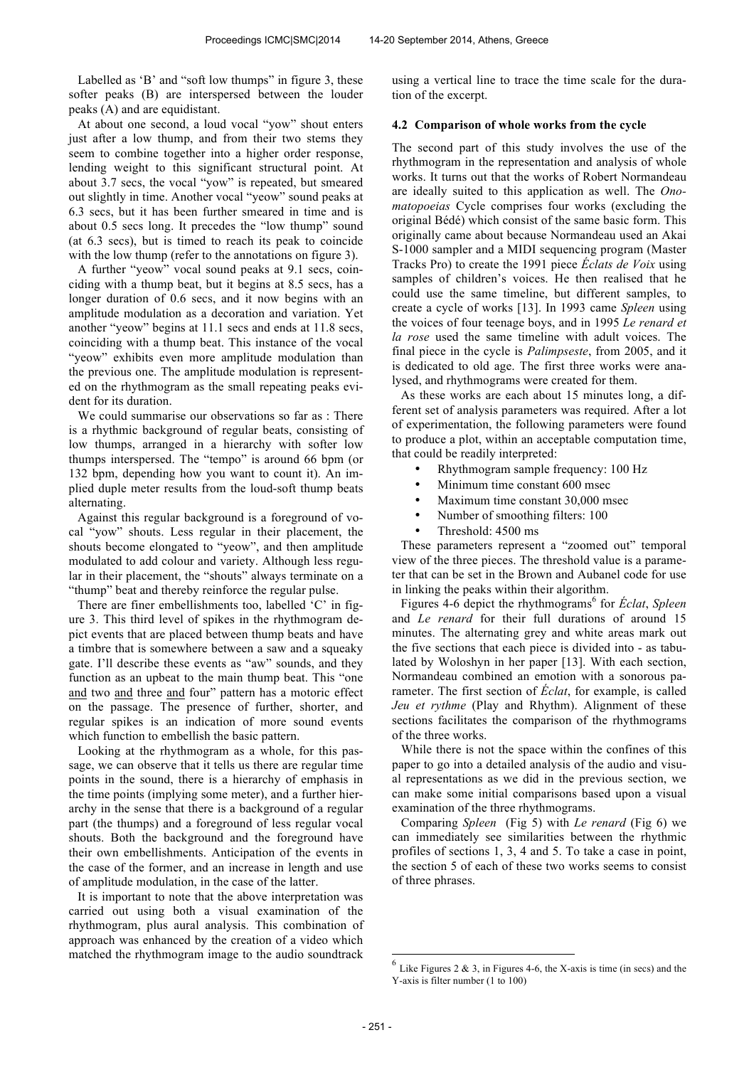Labelled as 'B' and "soft low thumps" in figure 3, these softer peaks (B) are interspersed between the louder peaks (A) and are equidistant.

At about one second, a loud vocal "yow" shout enters just after a low thump, and from their two stems they seem to combine together into a higher order response, lending weight to this significant structural point. At about 3.7 secs, the vocal "yow" is repeated, but smeared out slightly in time. Another vocal "yeow" sound peaks at 6.3 secs, but it has been further smeared in time and is about 0.5 secs long. It precedes the "low thump" sound (at 6.3 secs), but is timed to reach its peak to coincide with the low thump (refer to the annotations on figure 3).

A further "yeow" vocal sound peaks at 9.1 secs, coinciding with a thump beat, but it begins at 8.5 secs, has a longer duration of 0.6 secs, and it now begins with an amplitude modulation as a decoration and variation. Yet another "yeow" begins at 11.1 secs and ends at 11.8 secs, coinciding with a thump beat. This instance of the vocal "yeow" exhibits even more amplitude modulation than the previous one. The amplitude modulation is represented on the rhythmogram as the small repeating peaks evident for its duration.

We could summarise our observations so far as : There is a rhythmic background of regular beats, consisting of low thumps, arranged in a hierarchy with softer low thumps interspersed. The "tempo" is around 66 bpm (or 132 bpm, depending how you want to count it). An implied duple meter results from the loud-soft thump beats alternating.

Against this regular background is a foreground of vocal "yow" shouts. Less regular in their placement, the shouts become elongated to "yeow", and then amplitude modulated to add colour and variety. Although less regular in their placement, the "shouts" always terminate on a "thump" beat and thereby reinforce the regular pulse.

There are finer embellishments too, labelled 'C' in figure 3. This third level of spikes in the rhythmogram depict events that are placed between thump beats and have a timbre that is somewhere between a saw and a squeaky gate. I'll describe these events as "aw" sounds, and they function as an upbeat to the main thump beat. This "one and two and three and four" pattern has a motoric effect on the passage. The presence of further, shorter, and regular spikes is an indication of more sound events which function to embellish the basic pattern.

Looking at the rhythmogram as a whole, for this passage, we can observe that it tells us there are regular time points in the sound, there is a hierarchy of emphasis in the time points (implying some meter), and a further hierarchy in the sense that there is a background of a regular part (the thumps) and a foreground of less regular vocal shouts. Both the background and the foreground have their own embellishments. Anticipation of the events in the case of the former, and an increase in length and use of amplitude modulation, in the case of the latter.

It is important to note that the above interpretation was carried out using both a visual examination of the rhythmogram, plus aural analysis. This combination of approach was enhanced by the creation of a video which matched the rhythmogram image to the audio soundtrack

using a vertical line to trace the time scale for the duration of the excerpt.

#### **4.2 Comparison of whole works from the cycle**

The second part of this study involves the use of the rhythmogram in the representation and analysis of whole works. It turns out that the works of Robert Normandeau are ideally suited to this application as well. The *Onomatopoeias* Cycle comprises four works (excluding the original Bédé) which consist of the same basic form. This originally came about because Normandeau used an Akai S-1000 sampler and a MIDI sequencing program (Master Tracks Pro) to create the 1991 piece *Éclats de Voix* using samples of children's voices. He then realised that he could use the same timeline, but different samples, to create a cycle of works [13]. In 1993 came *Spleen* using the voices of four teenage boys, and in 1995 *Le renard et la rose* used the same timeline with adult voices. The final piece in the cycle is *Palimpseste*, from 2005, and it is dedicated to old age. The first three works were analysed, and rhythmograms were created for them.

As these works are each about 15 minutes long, a different set of analysis parameters was required. After a lot of experimentation, the following parameters were found to produce a plot, within an acceptable computation time, that could be readily interpreted:

- Rhythmogram sample frequency: 100 Hz
- Minimum time constant 600 msec
- Maximum time constant 30,000 msec
- Number of smoothing filters: 100
- Threshold: 4500 ms

These parameters represent a "zoomed out" temporal view of the three pieces. The threshold value is a parameter that can be set in the Brown and Aubanel code for use in linking the peaks within their algorithm.

Figures 4-6 depict the rhythmograms<sup>6</sup> for Éclat, Spleen and *Le renard* for their full durations of around 15 minutes. The alternating grey and white areas mark out the five sections that each piece is divided into - as tabulated by Woloshyn in her paper [13]. With each section, Normandeau combined an emotion with a sonorous parameter. The first section of *Éclat*, for example, is called *Jeu et rythme* (Play and Rhythm). Alignment of these sections facilitates the comparison of the rhythmograms of the three works.

While there is not the space within the confines of this paper to go into a detailed analysis of the audio and visual representations as we did in the previous section, we can make some initial comparisons based upon a visual examination of the three rhythmograms.

Comparing *Spleen* (Fig 5) with *Le renard* (Fig 6) we can immediately see similarities between the rhythmic profiles of sections 1, 3, 4 and 5. To take a case in point, the section 5 of each of these two works seems to consist of three phrases.

 $\overline{a}$ 

 $<sup>6</sup>$  Like Figures 2 & 3, in Figures 4-6, the X-axis is time (in secs) and the</sup> Y-axis is filter number (1 to 100)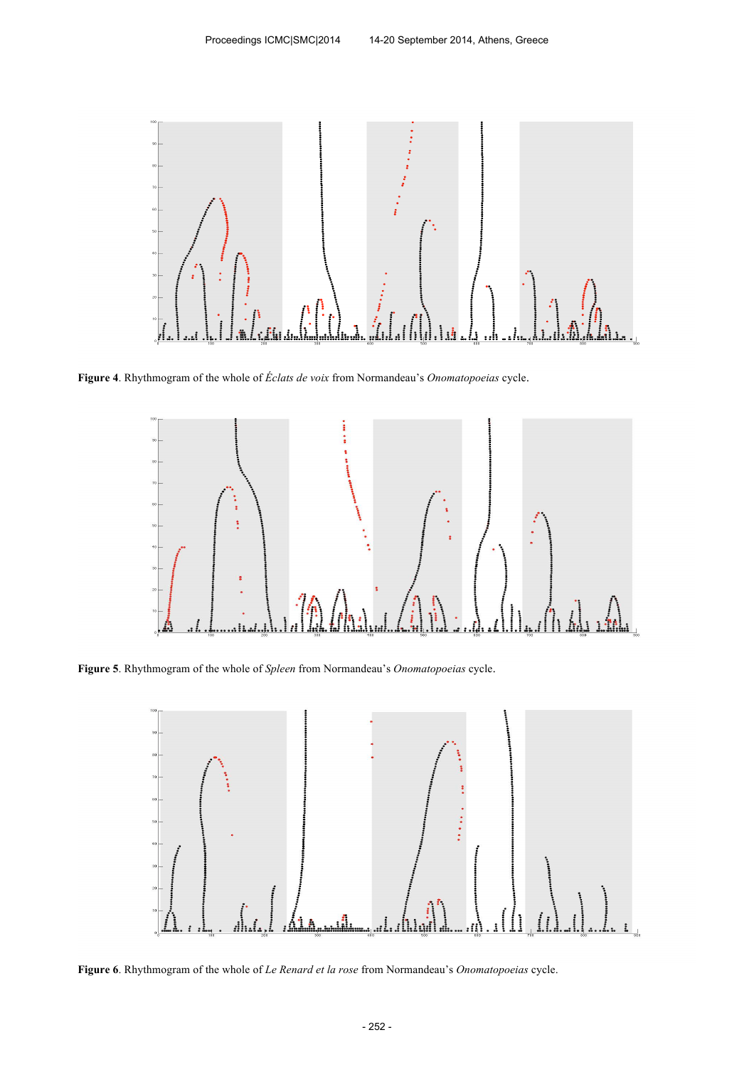

**Figure 4**. Rhythmogram of the whole of *Éclats de voix* from Normandeau's *Onomatopoeias* cycle.



**Figure 5**. Rhythmogram of the whole of *Spleen* from Normandeau's *Onomatopoeias* cycle.



**Figure 6**. Rhythmogram of the whole of *Le Renard et la rose* from Normandeau's *Onomatopoeias* cycle.